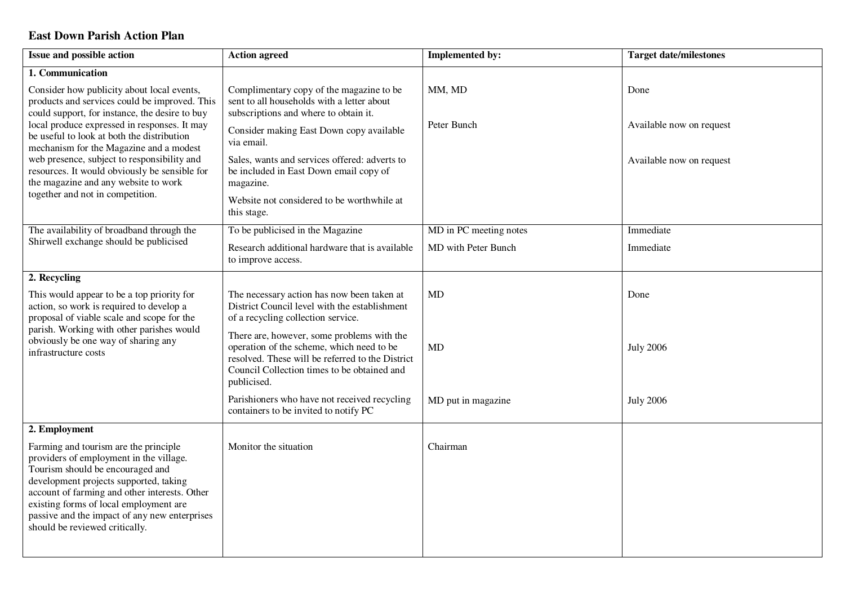## **East Down Parish Action Plan**

| Issue and possible action                                                                                                                                                                                                                                                                                                                                                                                                                                          | <b>Action agreed</b>                                                                                                                                                                                      | <b>Implemented by:</b> | <b>Target date/milestones</b> |
|--------------------------------------------------------------------------------------------------------------------------------------------------------------------------------------------------------------------------------------------------------------------------------------------------------------------------------------------------------------------------------------------------------------------------------------------------------------------|-----------------------------------------------------------------------------------------------------------------------------------------------------------------------------------------------------------|------------------------|-------------------------------|
| 1. Communication                                                                                                                                                                                                                                                                                                                                                                                                                                                   |                                                                                                                                                                                                           |                        |                               |
| Consider how publicity about local events,<br>products and services could be improved. This<br>could support, for instance, the desire to buy<br>local produce expressed in responses. It may<br>be useful to look at both the distribution<br>mechanism for the Magazine and a modest<br>web presence, subject to responsibility and<br>resources. It would obviously be sensible for<br>the magazine and any website to work<br>together and not in competition. | Complimentary copy of the magazine to be<br>sent to all households with a letter about<br>subscriptions and where to obtain it.                                                                           | MM, MD                 | Done                          |
|                                                                                                                                                                                                                                                                                                                                                                                                                                                                    | Consider making East Down copy available<br>via email.                                                                                                                                                    | Peter Bunch            | Available now on request      |
|                                                                                                                                                                                                                                                                                                                                                                                                                                                                    | Sales, wants and services offered: adverts to<br>be included in East Down email copy of<br>magazine.                                                                                                      |                        | Available now on request      |
|                                                                                                                                                                                                                                                                                                                                                                                                                                                                    | Website not considered to be worthwhile at<br>this stage.                                                                                                                                                 |                        |                               |
| The availability of broadband through the                                                                                                                                                                                                                                                                                                                                                                                                                          | To be publicised in the Magazine                                                                                                                                                                          | MD in PC meeting notes | Immediate                     |
| Shirwell exchange should be publicised                                                                                                                                                                                                                                                                                                                                                                                                                             | Research additional hardware that is available<br>to improve access.                                                                                                                                      | MD with Peter Bunch    | Immediate                     |
| 2. Recycling                                                                                                                                                                                                                                                                                                                                                                                                                                                       |                                                                                                                                                                                                           |                        |                               |
| This would appear to be a top priority for<br>action, so work is required to develop a<br>proposal of viable scale and scope for the<br>parish. Working with other parishes would<br>obviously be one way of sharing any<br>infrastructure costs                                                                                                                                                                                                                   | The necessary action has now been taken at<br>District Council level with the establishment<br>of a recycling collection service.                                                                         | <b>MD</b>              | Done                          |
|                                                                                                                                                                                                                                                                                                                                                                                                                                                                    | There are, however, some problems with the<br>operation of the scheme, which need to be<br>resolved. These will be referred to the District<br>Council Collection times to be obtained and<br>publicised. | <b>MD</b>              | <b>July 2006</b>              |
|                                                                                                                                                                                                                                                                                                                                                                                                                                                                    | Parishioners who have not received recycling<br>containers to be invited to notify PC                                                                                                                     | MD put in magazine     | <b>July 2006</b>              |
| 2. Employment                                                                                                                                                                                                                                                                                                                                                                                                                                                      |                                                                                                                                                                                                           |                        |                               |
| Farming and tourism are the principle<br>providers of employment in the village.<br>Tourism should be encouraged and<br>development projects supported, taking<br>account of farming and other interests. Other<br>existing forms of local employment are<br>passive and the impact of any new enterprises<br>should be reviewed critically.                                                                                                                       | Monitor the situation                                                                                                                                                                                     | Chairman               |                               |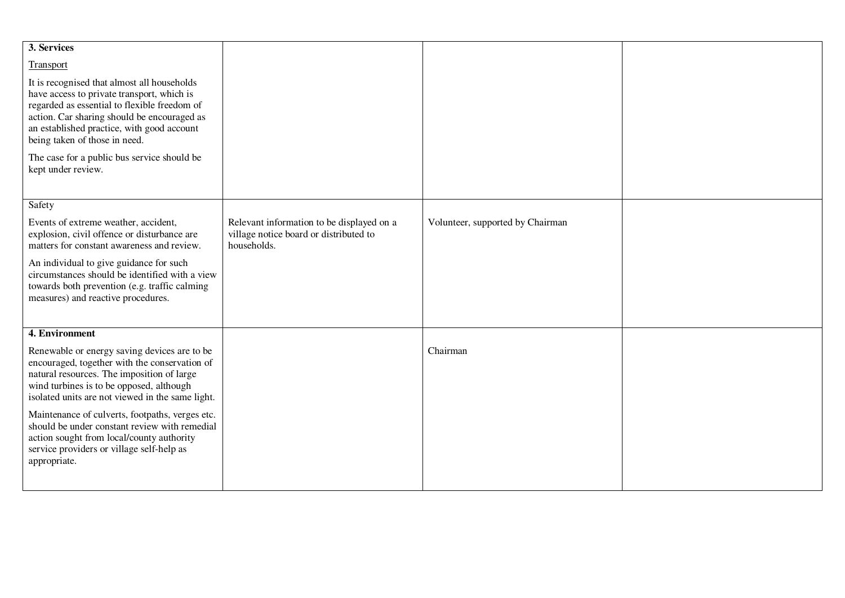| 3. Services                                                                                                                                                                                                                                                             |                                                                                                    |                                  |  |
|-------------------------------------------------------------------------------------------------------------------------------------------------------------------------------------------------------------------------------------------------------------------------|----------------------------------------------------------------------------------------------------|----------------------------------|--|
| Transport                                                                                                                                                                                                                                                               |                                                                                                    |                                  |  |
| It is recognised that almost all households<br>have access to private transport, which is<br>regarded as essential to flexible freedom of<br>action. Car sharing should be encouraged as<br>an established practice, with good account<br>being taken of those in need. |                                                                                                    |                                  |  |
| The case for a public bus service should be<br>kept under review.                                                                                                                                                                                                       |                                                                                                    |                                  |  |
| Safety                                                                                                                                                                                                                                                                  |                                                                                                    |                                  |  |
| Events of extreme weather, accident,<br>explosion, civil offence or disturbance are<br>matters for constant awareness and review.                                                                                                                                       | Relevant information to be displayed on a<br>village notice board or distributed to<br>households. | Volunteer, supported by Chairman |  |
| An individual to give guidance for such<br>circumstances should be identified with a view<br>towards both prevention (e.g. traffic calming<br>measures) and reactive procedures.                                                                                        |                                                                                                    |                                  |  |
| 4. Environment                                                                                                                                                                                                                                                          |                                                                                                    |                                  |  |
| Renewable or energy saving devices are to be<br>encouraged, together with the conservation of<br>natural resources. The imposition of large<br>wind turbines is to be opposed, although<br>isolated units are not viewed in the same light.                             |                                                                                                    | Chairman                         |  |
| Maintenance of culverts, footpaths, verges etc.<br>should be under constant review with remedial<br>action sought from local/county authority<br>service providers or village self-help as<br>appropriate.                                                              |                                                                                                    |                                  |  |